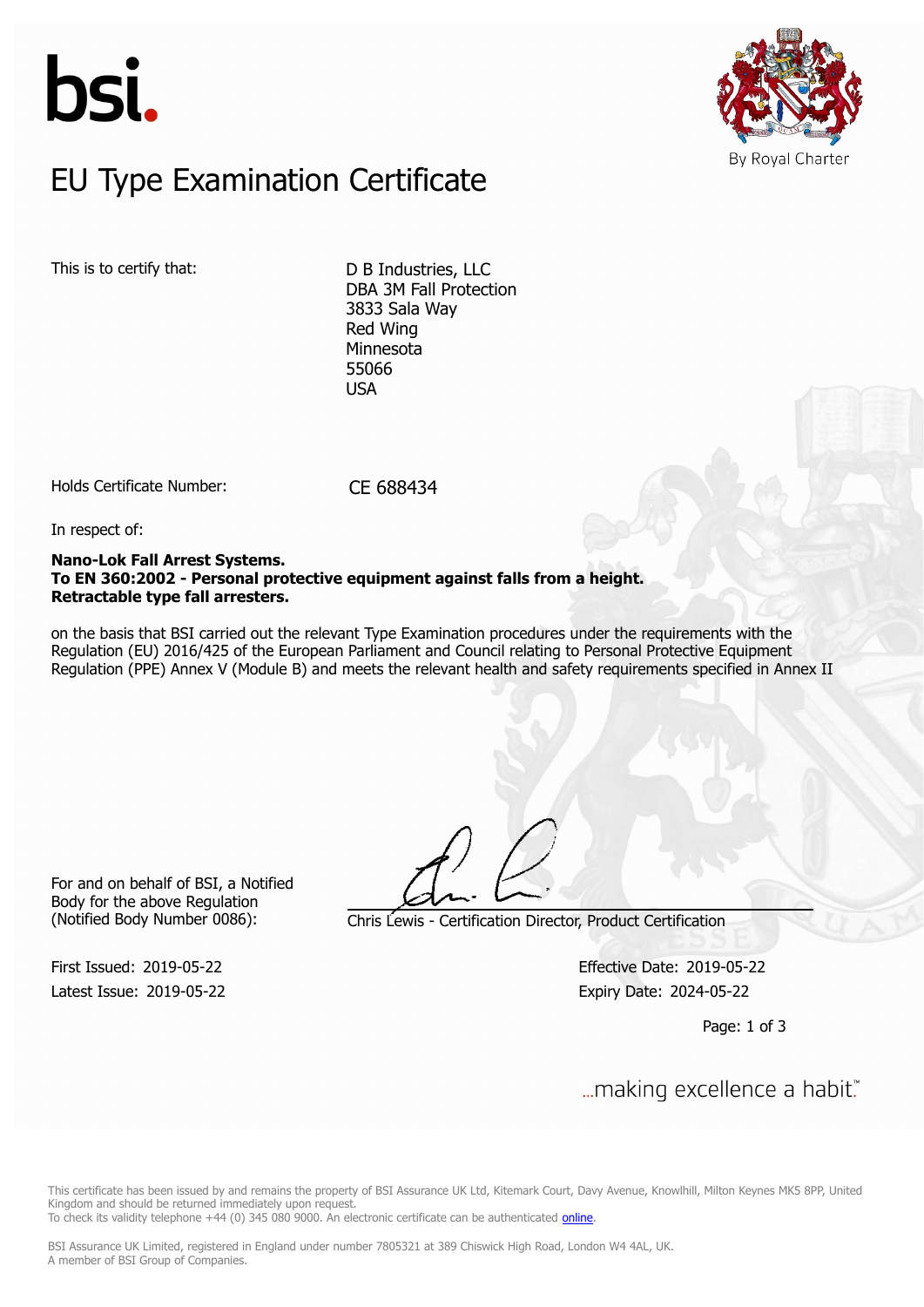



# $E$ U Type Examination Certific EU Type Examination Certificate

This is to certify that: D B Industries, LLC

DBA 3M Fall Protection 3833 Sala Way Red Wing Minnesota 55066 **USA** 

Holds Certificate Number: CE 688434

In respect of:

### **Nano-Lok Fall Arrest Systems. To EN 360:2002 - Personal protective equipment against falls from a height. Retractable type fall arresters.**

on the basis that BSI carried out the relevant Type Examination procedures under the requirements with the Regulation (EU) 2016/425 of the European Parliament and Council relating to Personal Protective Equipment Regulation (PPE) Annex V (Module B) and meets the relevant health and safety requirements specified in Annex II

For and on behalf of BSI, a Notified Body for the above Regulation

First Issued: 2019-05-22 Effective Date: 2019-05-22

(Notified Body Number 0086): Chris Lewis - Certification Director, Product Certification

Latest Issue: 2019-05-22 Expiry Date: 2024-05-22

Page: 1 of 3

First Issued: 2019-05-22 Effective Date: 2019-05-22

This certificate has been issued by and remains the property of BSI Assurance UK Ltd, Kitemark Court, Davy Avenue, Knowlhill, Milton Keynes MK5 8PP, United Kingdom and should be returned immediately upon request.

To check its validity telephone +44 (0) 345 080 9000. An electronic certificate can be authenticated *[online](https://pgplus.bsigroup.com/CertificateValidation/CertificateValidator.aspx?CertificateNumber=CE+688434&ReIssueDate=22%2f05%2f2019&Template=uk)*.

BSI Assurance UK Limited, registered in England under number 7805321 at 389 Chiswick High Road, London W4 4AL, UK. A member of BSI Group of Companies.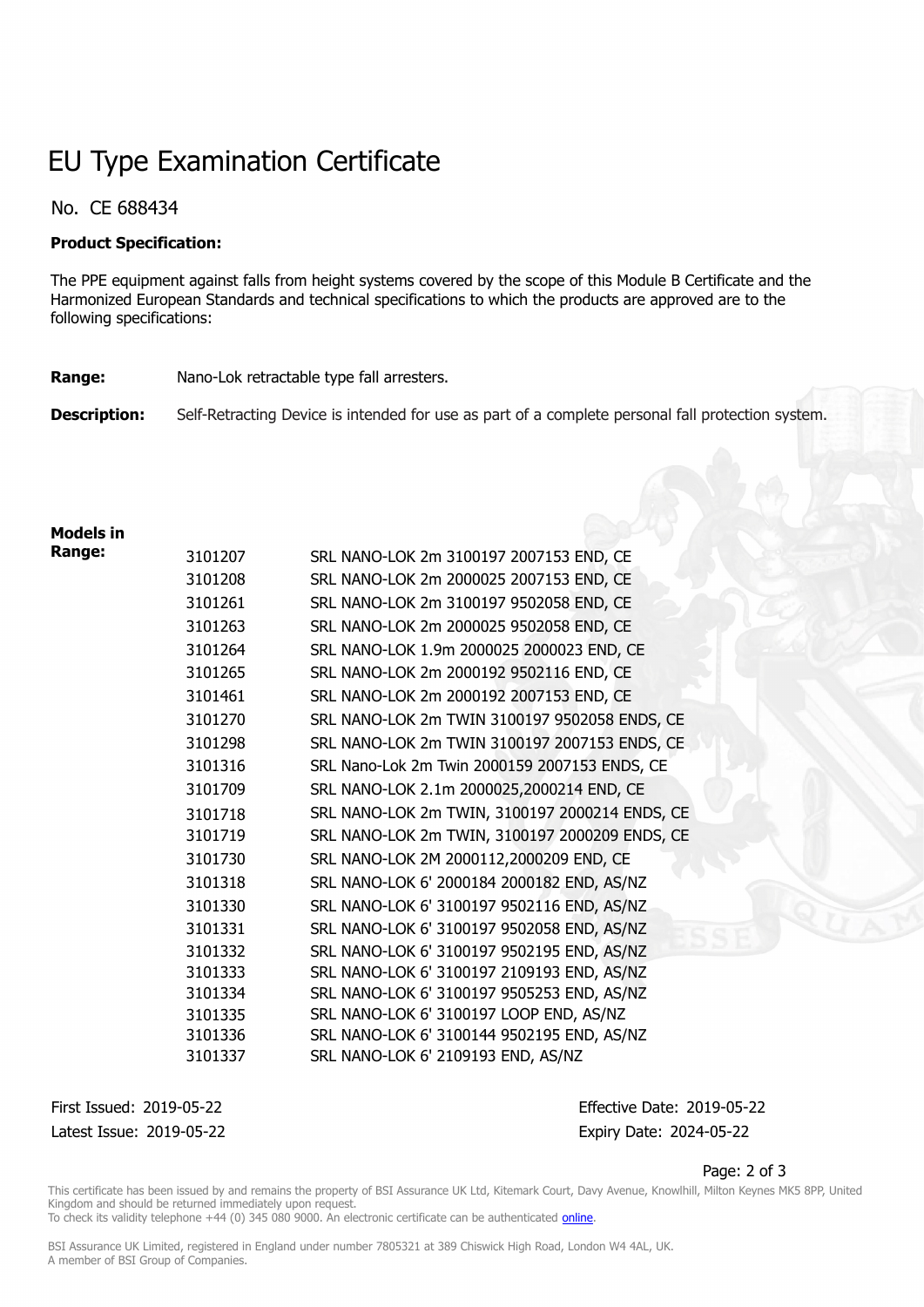# EU Type Examination Certificate

# No. CE 688434

### **Product Specification:**

The PPE equipment against falls from height systems covered by the scope of this Module B Certificate and the Harmonized European Standards and technical specifications to which the products are approved are to the following specifications:

### **Range:** Nano-Lok retractable type fall arresters.

**Description:** Self-Retracting Device is intended for use as part of a complete personal fall protection system.

## **Models in**

| Range: | 3101207            | SRL NANO-LOK 2m 3100197 2007153 END, CE                                          |
|--------|--------------------|----------------------------------------------------------------------------------|
|        | 3101208            | SRL NANO-LOK 2m 2000025 2007153 END, CE                                          |
|        | 3101261            | SRL NANO-LOK 2m 3100197 9502058 END, CE                                          |
|        | 3101263            | SRL NANO-LOK 2m 2000025 9502058 END, CE                                          |
|        | 3101264            | SRL NANO-LOK 1.9m 2000025 2000023 END, CE                                        |
|        | 3101265            | SRL NANO-LOK 2m 2000192 9502116 END, CE                                          |
|        | 3101461            | SRL NANO-LOK 2m 2000192 2007153 END, CE                                          |
|        | 3101270            | SRL NANO-LOK 2m TWIN 3100197 9502058 ENDS, CE                                    |
|        | 3101298            | SRL NANO-LOK 2m TWIN 3100197 2007153 ENDS, CE                                    |
|        | 3101316            | SRL Nano-Lok 2m Twin 2000159 2007153 ENDS, CE                                    |
|        | 3101709            | SRL NANO-LOK 2.1m 2000025,2000214 END, CE                                        |
|        | 3101718            | SRL NANO-LOK 2m TWIN, 3100197 2000214 ENDS, CE                                   |
|        | 3101719            | SRL NANO-LOK 2m TWIN, 3100197 2000209 ENDS, CE                                   |
|        | 3101730            | SRL NANO-LOK 2M 2000112,2000209 END, CE                                          |
|        | 3101318            | SRL NANO-LOK 6' 2000184 2000182 END, AS/NZ                                       |
|        | 3101330            | SRL NANO-LOK 6' 3100197 9502116 END, AS/NZ                                       |
|        | 3101331            | SRL NANO-LOK 6' 3100197 9502058 END, AS/NZ                                       |
|        | 3101332            | SRL NANO-LOK 6' 3100197 9502195 END, AS/NZ                                       |
|        | 3101333            | SRL NANO-LOK 6' 3100197 2109193 END, AS/NZ                                       |
|        | 3101334            | SRL NANO-LOK 6' 3100197 9505253 END, AS/NZ                                       |
|        | 3101335            | SRL NANO-LOK 6' 3100197 LOOP END, AS/NZ                                          |
|        | 3101336<br>3101337 | SRL NANO-LOK 6' 3100144 9502195 END, AS/NZ<br>SRL NANO-LOK 6' 2109193 END, AS/NZ |
|        |                    |                                                                                  |

Latest Issue: 2019-05-22 Expiry Date: 2024-05-22

First Issued: 2019-05-22 Effective Date: 2019-05-22

#### Page: 2 of 3

This certificate has been issued by and remains the property of BSI Assurance UK Ltd, Kitemark Court, Davy Avenue, Knowlhill, Milton Keynes MK5 8PP, United Kingdom and should be returned immediately upon request.

To check its validity telephone +44 (0) 345 080 9000. An electronic certificate can be authenticated *[online](https://pgplus.bsigroup.com/CertificateValidation/CertificateValidator.aspx?CertificateNumber=CE+688434&ReIssueDate=22%2f05%2f2019&Template=uk)*.

BSI Assurance UK Limited, registered in England under number 7805321 at 389 Chiswick High Road, London W4 4AL, UK. A member of BSI Group of Companies.